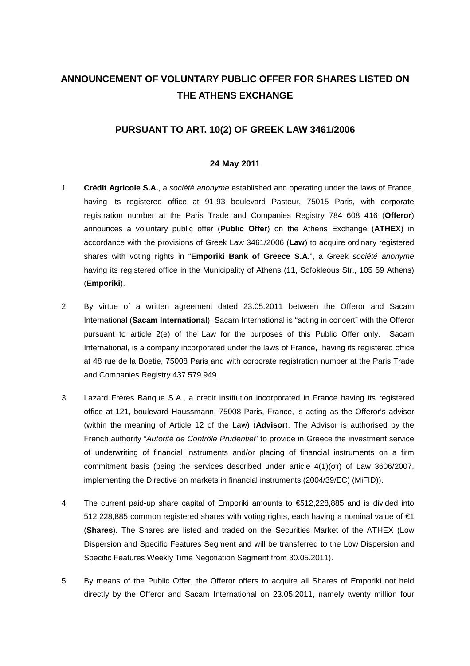## **ANNOUNCEMENT OF VOLUNTARY PUBLIC OFFER FOR SHARES LISTED ON THE ATHENS EXCHANGE**

## **PURSUANT TO ART. 10(2) OF GREEK LAW 3461/2006**

## **24 May 2011**

- 1 **Crédit Agricole S.A.**, a société anonyme established and operating under the laws of France, having its registered office at 91-93 boulevard Pasteur, 75015 Paris, with corporate registration number at the Paris Trade and Companies Registry 784 608 416 (**Offeror**) announces a voluntary public offer (**Public Offer**) on the Athens Exchange (**ATHEX**) in accordance with the provisions of Greek Law 3461/2006 (**Law**) to acquire ordinary registered shares with voting rights in "**Emporiki Bank of Greece S.A.**", a Greek société anonyme having its registered office in the Municipality of Athens (11, Sofokleous Str., 105 59 Athens) (**Emporiki**).
- 2 By virtue of a written agreement dated 23.05.2011 between the Offeror and Sacam International (**Sacam International**), Sacam International is "acting in concert" with the Offeror pursuant to article 2(e) of the Law for the purposes of this Public Offer only. Sacam International, is a company incorporated under the laws of France, having its registered office at 48 rue de la Boetie, 75008 Paris and with corporate registration number at the Paris Trade and Companies Registry 437 579 949.
- 3 Lazard Frères Banque S.A., a credit institution incorporated in France having its registered office at 121, boulevard Haussmann, 75008 Paris, France, is acting as the Offeror's advisor (within the meaning of Article 12 of the Law) (**Advisor**). The Advisor is authorised by the French authority "Autorité de Contrôle Prudentiel" to provide in Greece the investment service of underwriting of financial instruments and/or placing of financial instruments on a firm commitment basis (being the services described under article 4(1)(στ) of Law 3606/2007, implementing the Directive on markets in financial instruments (2004/39/EC) (MiFID)).
- 4 The current paid-up share capital of Emporiki amounts to €512,228,885 and is divided into 512,228,885 common registered shares with voting rights, each having a nominal value of €1 (**Shares**). The Shares are listed and traded on the Securities Market of the ATHEX (Low Dispersion and Specific Features Segment and will be transferred to the Low Dispersion and Specific Features Weekly Time Negotiation Segment from 30.05.2011).
- 5 By means of the Public Offer, the Offeror offers to acquire all Shares of Emporiki not held directly by the Offeror and Sacam International on 23.05.2011, namely twenty million four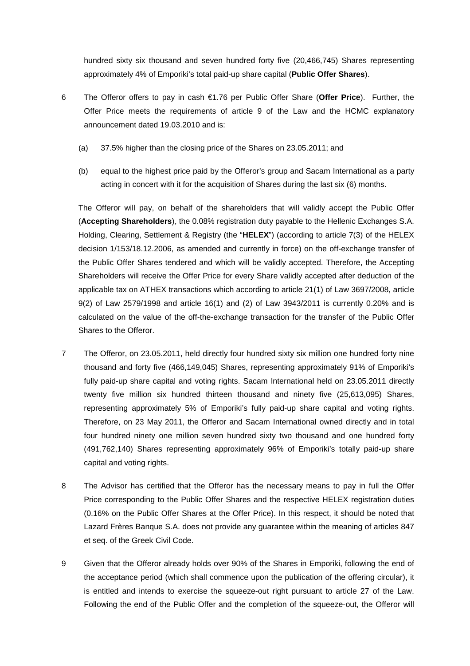hundred sixty six thousand and seven hundred forty five (20,466,745) Shares representing approximately 4% of Emporiki's total paid-up share capital (**Public Offer Shares**).

- 6 The Offeror offers to pay in cash €1.76 per Public Offer Share (**Offer Price**). Further, the Offer Price meets the requirements of article 9 of the Law and the HCMC explanatory announcement dated 19.03.2010 and is:
	- (a) 37.5% higher than the closing price of the Shares on 23.05.2011; and
	- (b) equal to the highest price paid by the Offeror's group and Sacam International as a party acting in concert with it for the acquisition of Shares during the last six (6) months.

The Offeror will pay, on behalf of the shareholders that will validly accept the Public Offer (**Accepting Shareholders**), the 0.08% registration duty payable to the Hellenic Exchanges S.A. Holding, Clearing, Settlement & Registry (the "**HELEX**") (according to article 7(3) of the HELEX decision 1/153/18.12.2006, as amended and currently in force) on the off-exchange transfer of the Public Offer Shares tendered and which will be validly accepted. Therefore, the Accepting Shareholders will receive the Offer Price for every Share validly accepted after deduction of the applicable tax on ATHEX transactions which according to article 21(1) of Law 3697/2008, article 9(2) of Law 2579/1998 and article 16(1) and (2) of Law 3943/2011 is currently 0.20% and is calculated on the value of the off-the-exchange transaction for the transfer of the Public Offer Shares to the Offeror.

- 7 The Offeror, on 23.05.2011, held directly four hundred sixty six million one hundred forty nine thousand and forty five (466,149,045) Shares, representing approximately 91% of Emporiki's fully paid-up share capital and voting rights. Sacam International held on 23.05.2011 directly twenty five million six hundred thirteen thousand and ninety five (25,613,095) Shares, representing approximately 5% of Emporiki's fully paid-up share capital and voting rights. Therefore, on 23 May 2011, the Offeror and Sacam International owned directly and in total four hundred ninety one million seven hundred sixty two thousand and one hundred forty (491,762,140) Shares representing approximately 96% of Emporiki's totally paid-up share capital and voting rights.
- 8 The Advisor has certified that the Offeror has the necessary means to pay in full the Offer Price corresponding to the Public Offer Shares and the respective HELEX registration duties (0.16% on the Public Offer Shares at the Offer Price). In this respect, it should be noted that Lazard Frères Banque S.A. does not provide any guarantee within the meaning of articles 847 et seq. of the Greek Civil Code.
- 9 Given that the Offeror already holds over 90% of the Shares in Emporiki, following the end of the acceptance period (which shall commence upon the publication of the offering circular), it is entitled and intends to exercise the squeeze-out right pursuant to article 27 of the Law. Following the end of the Public Offer and the completion of the squeeze-out, the Offeror will